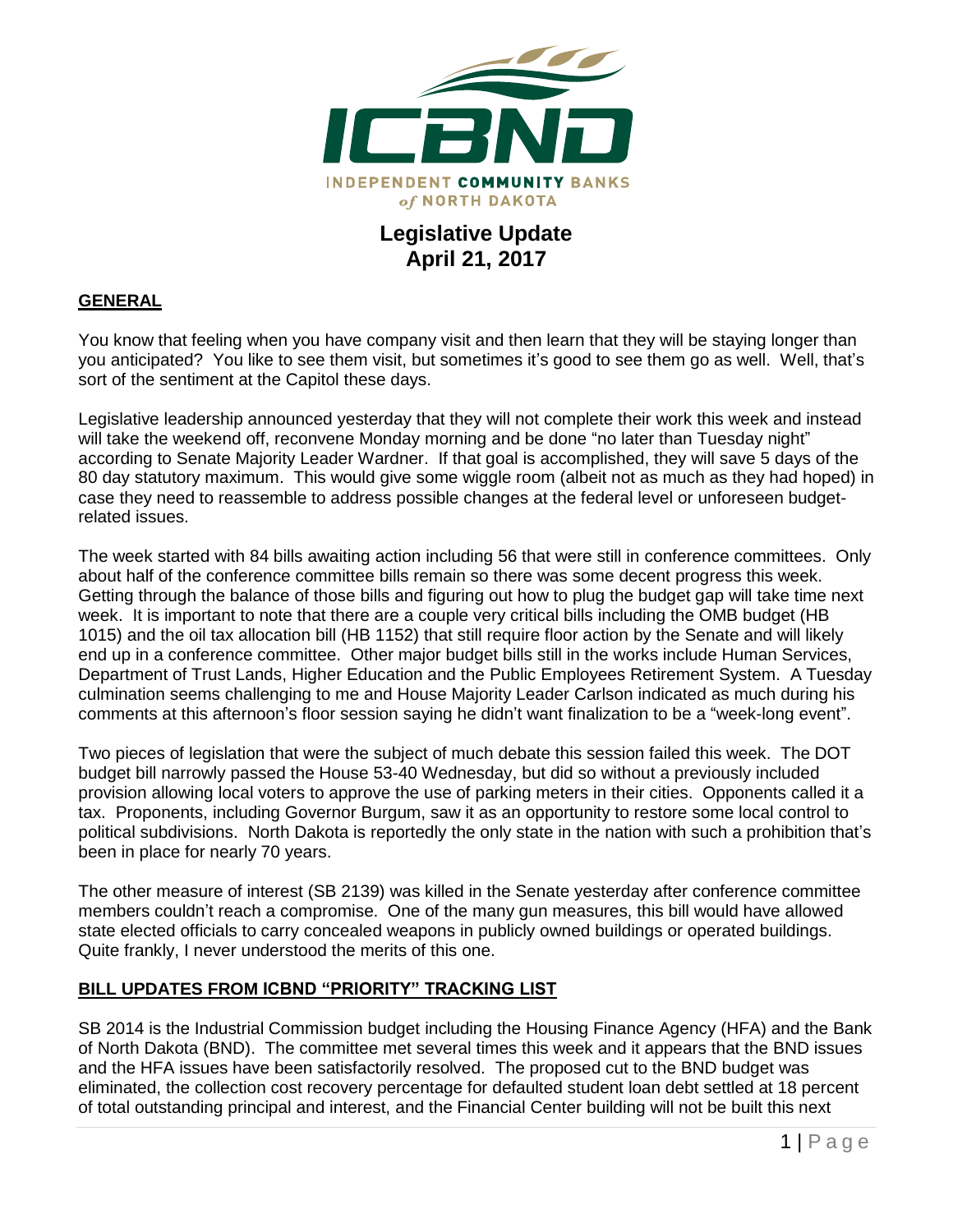

## **Legislative Update April 21, 2017**

## **GENERAL**

You know that feeling when you have company visit and then learn that they will be staying longer than you anticipated? You like to see them visit, but sometimes it's good to see them go as well. Well, that's sort of the sentiment at the Capitol these days.

Legislative leadership announced yesterday that they will not complete their work this week and instead will take the weekend off, reconvene Monday morning and be done "no later than Tuesday night" according to Senate Majority Leader Wardner. If that goal is accomplished, they will save 5 days of the 80 day statutory maximum. This would give some wiggle room (albeit not as much as they had hoped) in case they need to reassemble to address possible changes at the federal level or unforeseen budgetrelated issues.

The week started with 84 bills awaiting action including 56 that were still in conference committees. Only about half of the conference committee bills remain so there was some decent progress this week. Getting through the balance of those bills and figuring out how to plug the budget gap will take time next week. It is important to note that there are a couple very critical bills including the OMB budget (HB 1015) and the oil tax allocation bill (HB 1152) that still require floor action by the Senate and will likely end up in a conference committee. Other major budget bills still in the works include Human Services, Department of Trust Lands, Higher Education and the Public Employees Retirement System. A Tuesday culmination seems challenging to me and House Majority Leader Carlson indicated as much during his comments at this afternoon's floor session saying he didn't want finalization to be a "week-long event".

Two pieces of legislation that were the subject of much debate this session failed this week. The DOT budget bill narrowly passed the House 53-40 Wednesday, but did so without a previously included provision allowing local voters to approve the use of parking meters in their cities. Opponents called it a tax. Proponents, including Governor Burgum, saw it as an opportunity to restore some local control to political subdivisions. North Dakota is reportedly the only state in the nation with such a prohibition that's been in place for nearly 70 years.

The other measure of interest (SB 2139) was killed in the Senate yesterday after conference committee members couldn't reach a compromise. One of the many gun measures, this bill would have allowed state elected officials to carry concealed weapons in publicly owned buildings or operated buildings. Quite frankly, I never understood the merits of this one.

## **BILL UPDATES FROM ICBND "PRIORITY" TRACKING LIST**

SB 2014 is the Industrial Commission budget including the Housing Finance Agency (HFA) and the Bank of North Dakota (BND). The committee met several times this week and it appears that the BND issues and the HFA issues have been satisfactorily resolved. The proposed cut to the BND budget was eliminated, the collection cost recovery percentage for defaulted student loan debt settled at 18 percent of total outstanding principal and interest, and the Financial Center building will not be built this next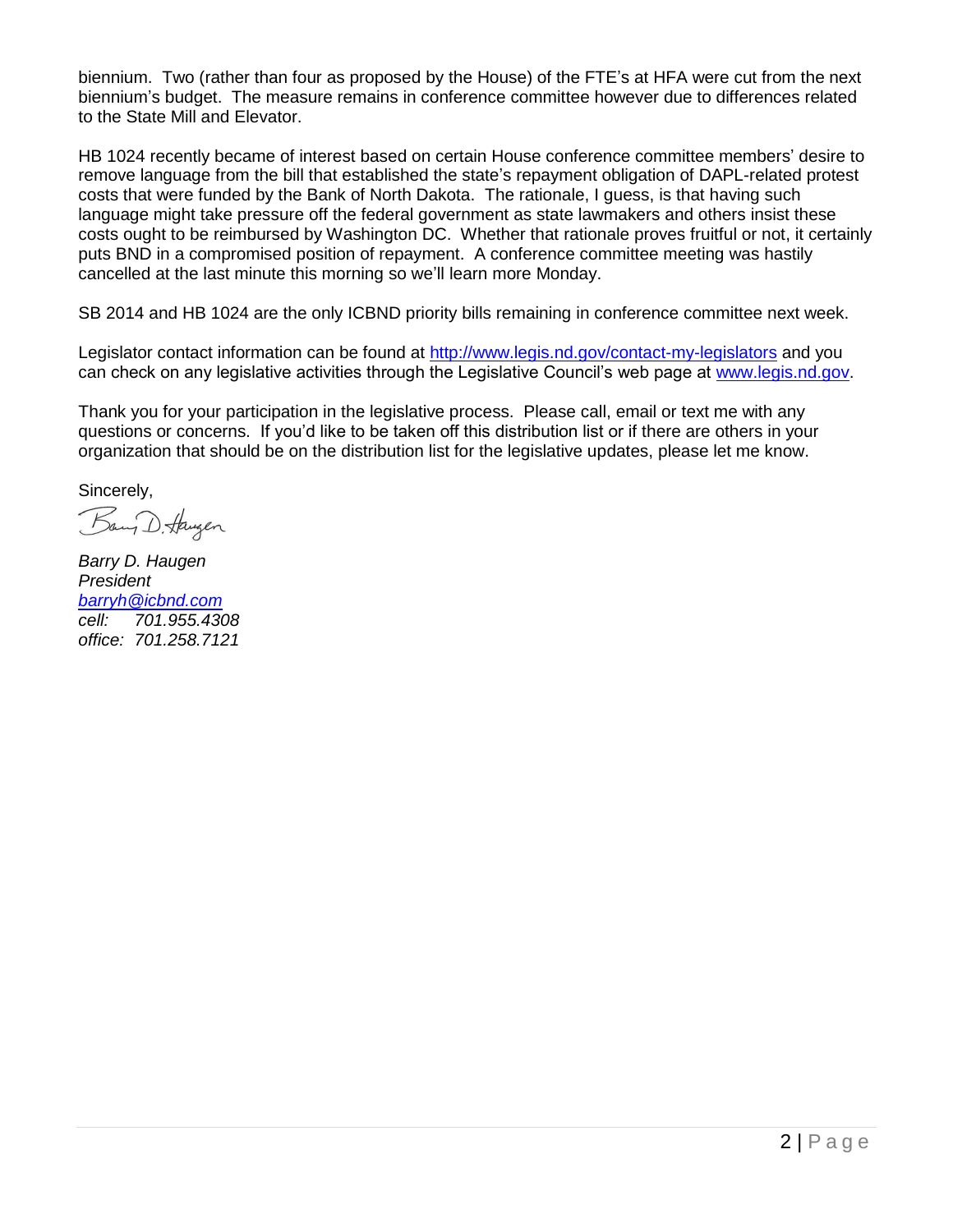biennium. Two (rather than four as proposed by the House) of the FTE's at HFA were cut from the next biennium's budget. The measure remains in conference committee however due to differences related to the State Mill and Elevator.

HB 1024 recently became of interest based on certain House conference committee members' desire to remove language from the bill that established the state's repayment obligation of DAPL-related protest costs that were funded by the Bank of North Dakota. The rationale, I guess, is that having such language might take pressure off the federal government as state lawmakers and others insist these costs ought to be reimbursed by Washington DC. Whether that rationale proves fruitful or not, it certainly puts BND in a compromised position of repayment. A conference committee meeting was hastily cancelled at the last minute this morning so we'll learn more Monday.

SB 2014 and HB 1024 are the only ICBND priority bills remaining in conference committee next week.

Legislator contact information can be found at<http://www.legis.nd.gov/contact-my-legislators> and you can check on any legislative activities through the Legislative Council's web page at [www.legis.nd.gov.](http://www.legis.nd.gov/)

Thank you for your participation in the legislative process. Please call, email or text me with any questions or concerns. If you'd like to be taken off this distribution list or if there are others in your organization that should be on the distribution list for the legislative updates, please let me know.

Sincerely,

Bany D. Haugen

*Barry D. Haugen President [barryh@icbnd.com](mailto:barryh@icbnd.com) cell: 701.955.4308 office: 701.258.7121*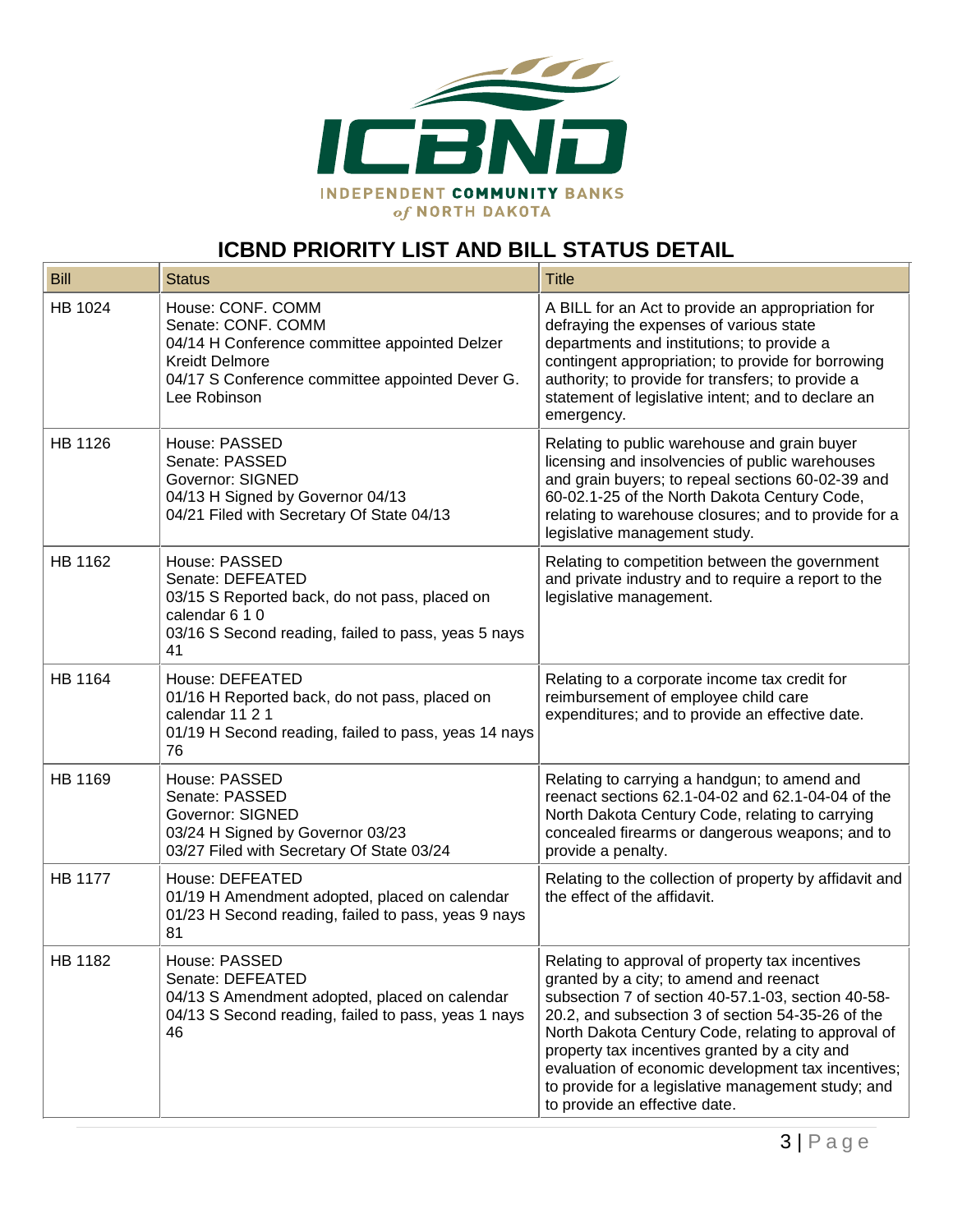

## **ICBND PRIORITY LIST AND BILL STATUS DETAIL**

| <b>Bill</b>    | <b>Status</b>                                                                                                                                                                        | <b>Title</b>                                                                                                                                                                                                                                                                                                                                                                                                                                              |
|----------------|--------------------------------------------------------------------------------------------------------------------------------------------------------------------------------------|-----------------------------------------------------------------------------------------------------------------------------------------------------------------------------------------------------------------------------------------------------------------------------------------------------------------------------------------------------------------------------------------------------------------------------------------------------------|
| HB 1024        | House: CONF. COMM<br>Senate: CONF. COMM<br>04/14 H Conference committee appointed Delzer<br><b>Kreidt Delmore</b><br>04/17 S Conference committee appointed Dever G.<br>Lee Robinson | A BILL for an Act to provide an appropriation for<br>defraying the expenses of various state<br>departments and institutions; to provide a<br>contingent appropriation; to provide for borrowing<br>authority; to provide for transfers; to provide a<br>statement of legislative intent; and to declare an<br>emergency.                                                                                                                                 |
| HB 1126        | House: PASSED<br>Senate: PASSED<br>Governor: SIGNED<br>04/13 H Signed by Governor 04/13<br>04/21 Filed with Secretary Of State 04/13                                                 | Relating to public warehouse and grain buyer<br>licensing and insolvencies of public warehouses<br>and grain buyers; to repeal sections 60-02-39 and<br>60-02.1-25 of the North Dakota Century Code,<br>relating to warehouse closures; and to provide for a<br>legislative management study.                                                                                                                                                             |
| HB 1162        | House: PASSED<br>Senate: DEFEATED<br>03/15 S Reported back, do not pass, placed on<br>calendar 6 1 0<br>03/16 S Second reading, failed to pass, yeas 5 nays<br>41                    | Relating to competition between the government<br>and private industry and to require a report to the<br>legislative management.                                                                                                                                                                                                                                                                                                                          |
| <b>HB 1164</b> | House: DEFEATED<br>01/16 H Reported back, do not pass, placed on<br>calendar 11 2 1<br>01/19 H Second reading, failed to pass, yeas 14 nays<br>76                                    | Relating to a corporate income tax credit for<br>reimbursement of employee child care<br>expenditures; and to provide an effective date.                                                                                                                                                                                                                                                                                                                  |
| HB 1169        | House: PASSED<br>Senate: PASSED<br>Governor: SIGNED<br>03/24 H Signed by Governor 03/23<br>03/27 Filed with Secretary Of State 03/24                                                 | Relating to carrying a handgun; to amend and<br>reenact sections 62.1-04-02 and 62.1-04-04 of the<br>North Dakota Century Code, relating to carrying<br>concealed firearms or dangerous weapons; and to<br>provide a penalty.                                                                                                                                                                                                                             |
| <b>HB 1177</b> | House: DEFEATED<br>01/19 H Amendment adopted, placed on calendar<br>01/23 H Second reading, failed to pass, yeas 9 nays<br>81                                                        | Relating to the collection of property by affidavit and<br>the effect of the affidavit.                                                                                                                                                                                                                                                                                                                                                                   |
| HB 1182        | House: PASSED<br>Senate: DEFEATED<br>04/13 S Amendment adopted, placed on calendar<br>04/13 S Second reading, failed to pass, yeas 1 nays<br>46                                      | Relating to approval of property tax incentives<br>granted by a city; to amend and reenact<br>subsection 7 of section 40-57.1-03, section 40-58-<br>20.2, and subsection 3 of section 54-35-26 of the<br>North Dakota Century Code, relating to approval of<br>property tax incentives granted by a city and<br>evaluation of economic development tax incentives;<br>to provide for a legislative management study; and<br>to provide an effective date. |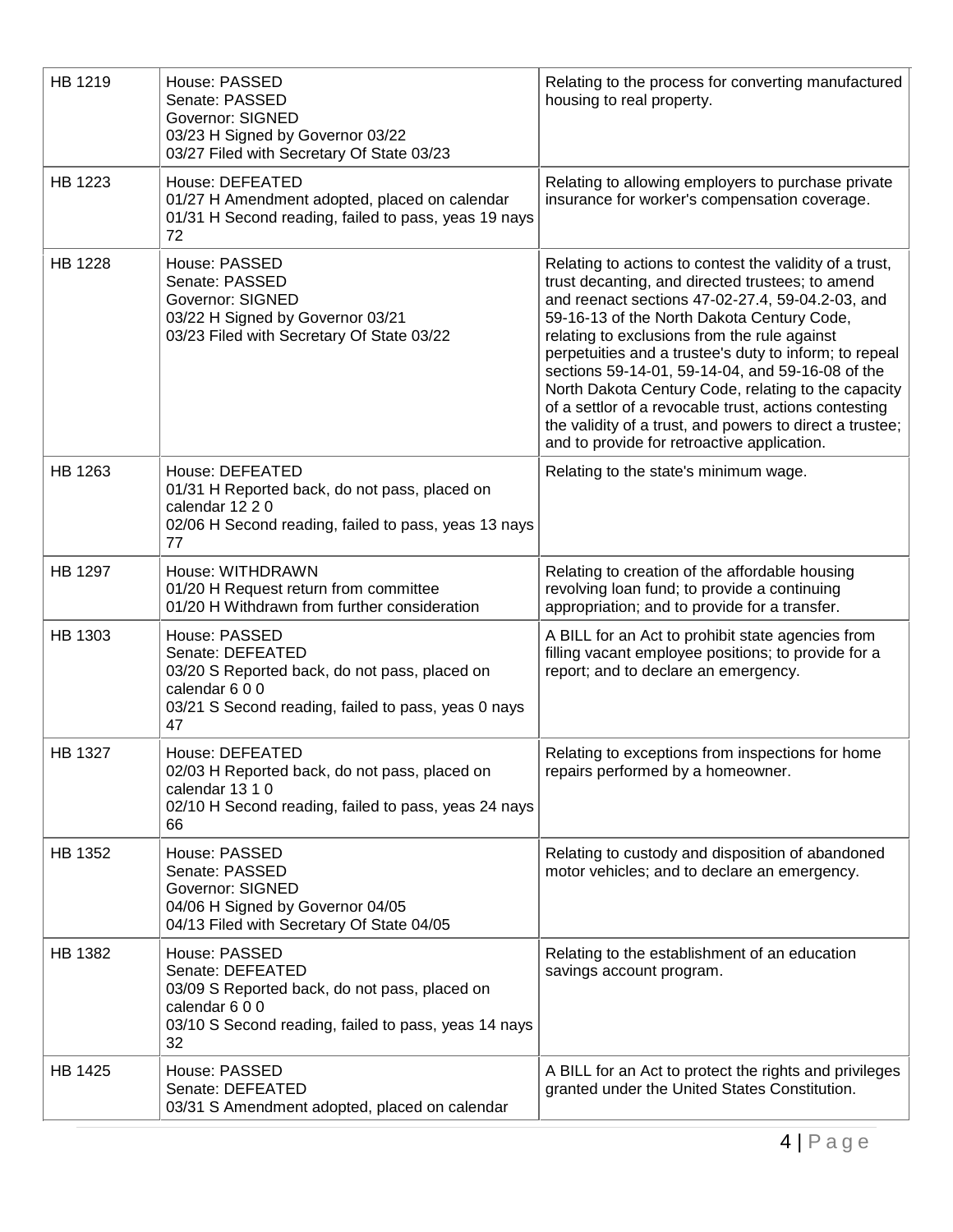| HB 1219        | House: PASSED<br>Senate: PASSED<br><b>Governor: SIGNED</b><br>03/23 H Signed by Governor 03/22<br>03/27 Filed with Secretary Of State 03/23                        | Relating to the process for converting manufactured<br>housing to real property.                                                                                                                                                                                                                                                                                                                                                                                                                                                                                                                       |
|----------------|--------------------------------------------------------------------------------------------------------------------------------------------------------------------|--------------------------------------------------------------------------------------------------------------------------------------------------------------------------------------------------------------------------------------------------------------------------------------------------------------------------------------------------------------------------------------------------------------------------------------------------------------------------------------------------------------------------------------------------------------------------------------------------------|
| HB 1223        | House: DEFEATED<br>01/27 H Amendment adopted, placed on calendar<br>01/31 H Second reading, failed to pass, yeas 19 nays<br>72                                     | Relating to allowing employers to purchase private<br>insurance for worker's compensation coverage.                                                                                                                                                                                                                                                                                                                                                                                                                                                                                                    |
| HB 1228        | House: PASSED<br>Senate: PASSED<br><b>Governor: SIGNED</b><br>03/22 H Signed by Governor 03/21<br>03/23 Filed with Secretary Of State 03/22                        | Relating to actions to contest the validity of a trust,<br>trust decanting, and directed trustees; to amend<br>and reenact sections 47-02-27.4, 59-04.2-03, and<br>59-16-13 of the North Dakota Century Code,<br>relating to exclusions from the rule against<br>perpetuities and a trustee's duty to inform; to repeal<br>sections 59-14-01, 59-14-04, and 59-16-08 of the<br>North Dakota Century Code, relating to the capacity<br>of a settlor of a revocable trust, actions contesting<br>the validity of a trust, and powers to direct a trustee;<br>and to provide for retroactive application. |
| HB 1263        | House: DEFEATED<br>01/31 H Reported back, do not pass, placed on<br>calendar 12 2 0<br>02/06 H Second reading, failed to pass, yeas 13 nays<br>77                  | Relating to the state's minimum wage.                                                                                                                                                                                                                                                                                                                                                                                                                                                                                                                                                                  |
| <b>HB 1297</b> | House: WITHDRAWN<br>01/20 H Request return from committee<br>01/20 H Withdrawn from further consideration                                                          | Relating to creation of the affordable housing<br>revolving loan fund; to provide a continuing<br>appropriation; and to provide for a transfer.                                                                                                                                                                                                                                                                                                                                                                                                                                                        |
| HB 1303        | House: PASSED<br>Senate: DEFEATED<br>03/20 S Reported back, do not pass, placed on<br>calendar 600<br>03/21 S Second reading, failed to pass, yeas 0 nays<br>47    | A BILL for an Act to prohibit state agencies from<br>filling vacant employee positions; to provide for a<br>report; and to declare an emergency.                                                                                                                                                                                                                                                                                                                                                                                                                                                       |
| <b>HB 1327</b> | House: DEFEATED<br>02/03 H Reported back, do not pass, placed on<br>calendar 13 1 0<br>02/10 H Second reading, failed to pass, yeas 24 nays<br>66                  | Relating to exceptions from inspections for home<br>repairs performed by a homeowner.                                                                                                                                                                                                                                                                                                                                                                                                                                                                                                                  |
| HB 1352        | House: PASSED<br>Senate: PASSED<br><b>Governor: SIGNED</b><br>04/06 H Signed by Governor 04/05<br>04/13 Filed with Secretary Of State 04/05                        | Relating to custody and disposition of abandoned<br>motor vehicles; and to declare an emergency.                                                                                                                                                                                                                                                                                                                                                                                                                                                                                                       |
| HB 1382        | House: PASSED<br>Senate: DEFEATED<br>03/09 S Reported back, do not pass, placed on<br>calendar 6 0 0<br>03/10 S Second reading, failed to pass, yeas 14 nays<br>32 | Relating to the establishment of an education<br>savings account program.                                                                                                                                                                                                                                                                                                                                                                                                                                                                                                                              |
| HB 1425        | House: PASSED<br>Senate: DEFEATED<br>03/31 S Amendment adopted, placed on calendar                                                                                 | A BILL for an Act to protect the rights and privileges<br>granted under the United States Constitution.                                                                                                                                                                                                                                                                                                                                                                                                                                                                                                |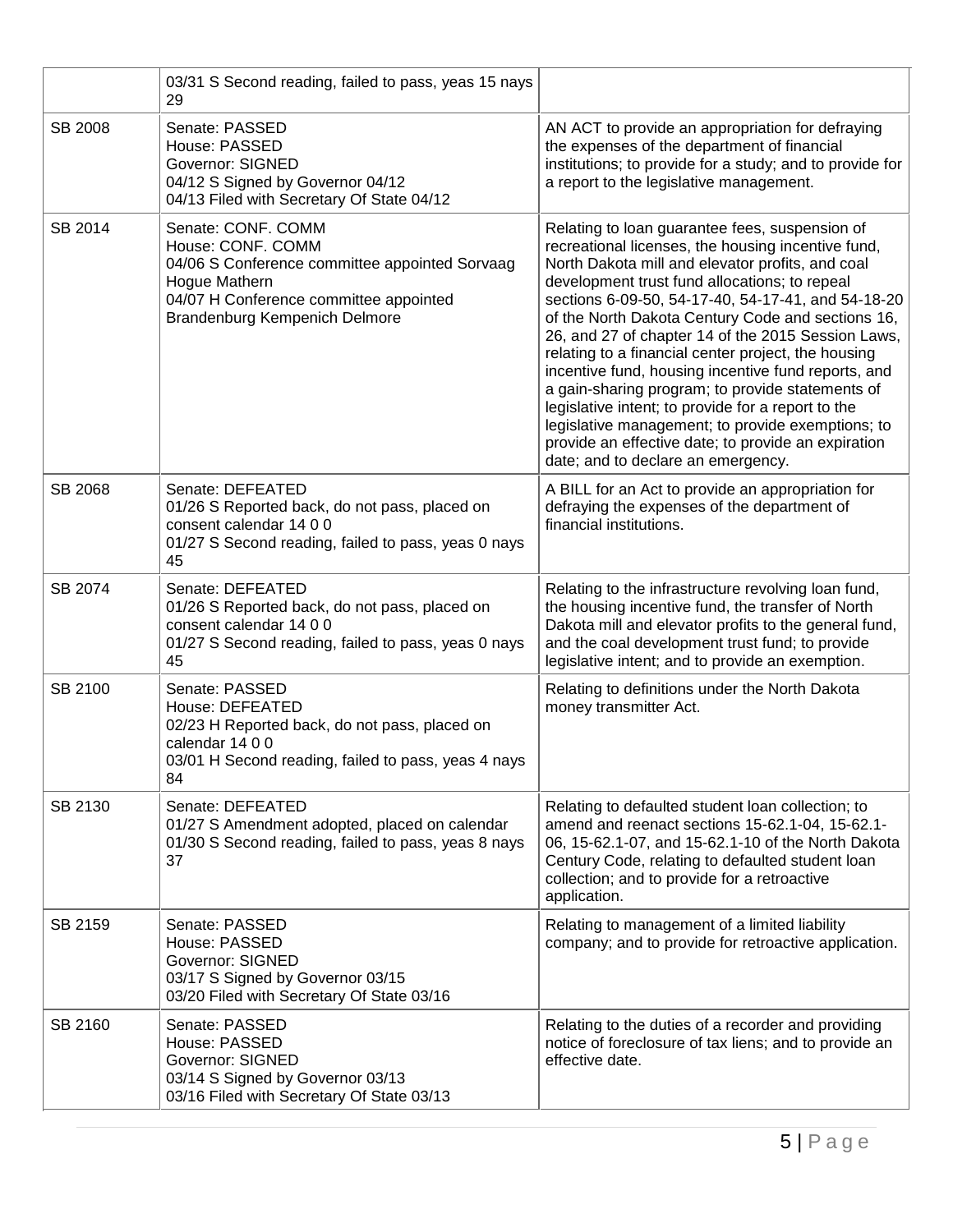|                | 03/31 S Second reading, failed to pass, yeas 15 nays<br>29                                                                                                                            |                                                                                                                                                                                                                                                                                                                                                                                                                                                                                                                                                                                                                                                                                                                                                      |
|----------------|---------------------------------------------------------------------------------------------------------------------------------------------------------------------------------------|------------------------------------------------------------------------------------------------------------------------------------------------------------------------------------------------------------------------------------------------------------------------------------------------------------------------------------------------------------------------------------------------------------------------------------------------------------------------------------------------------------------------------------------------------------------------------------------------------------------------------------------------------------------------------------------------------------------------------------------------------|
| <b>SB 2008</b> | Senate: PASSED<br>House: PASSED<br><b>Governor: SIGNED</b><br>04/12 S Signed by Governor 04/12<br>04/13 Filed with Secretary Of State 04/12                                           | AN ACT to provide an appropriation for defraying<br>the expenses of the department of financial<br>institutions; to provide for a study; and to provide for<br>a report to the legislative management.                                                                                                                                                                                                                                                                                                                                                                                                                                                                                                                                               |
| SB 2014        | Senate: CONF. COMM<br>House: CONF. COMM<br>04/06 S Conference committee appointed Sorvaag<br>Hogue Mathern<br>04/07 H Conference committee appointed<br>Brandenburg Kempenich Delmore | Relating to loan guarantee fees, suspension of<br>recreational licenses, the housing incentive fund,<br>North Dakota mill and elevator profits, and coal<br>development trust fund allocations; to repeal<br>sections 6-09-50, 54-17-40, 54-17-41, and 54-18-20<br>of the North Dakota Century Code and sections 16,<br>26, and 27 of chapter 14 of the 2015 Session Laws,<br>relating to a financial center project, the housing<br>incentive fund, housing incentive fund reports, and<br>a gain-sharing program; to provide statements of<br>legislative intent; to provide for a report to the<br>legislative management; to provide exemptions; to<br>provide an effective date; to provide an expiration<br>date; and to declare an emergency. |
| SB 2068        | Senate: DEFEATED<br>01/26 S Reported back, do not pass, placed on<br>consent calendar 14 0 0<br>01/27 S Second reading, failed to pass, yeas 0 nays<br>45                             | A BILL for an Act to provide an appropriation for<br>defraying the expenses of the department of<br>financial institutions.                                                                                                                                                                                                                                                                                                                                                                                                                                                                                                                                                                                                                          |
| SB 2074        | Senate: DEFEATED<br>01/26 S Reported back, do not pass, placed on<br>consent calendar 14 0 0<br>01/27 S Second reading, failed to pass, yeas 0 nays<br>45                             | Relating to the infrastructure revolving loan fund,<br>the housing incentive fund, the transfer of North<br>Dakota mill and elevator profits to the general fund,<br>and the coal development trust fund; to provide<br>legislative intent; and to provide an exemption.                                                                                                                                                                                                                                                                                                                                                                                                                                                                             |
| SB 2100        | Senate: PASSED<br>House: DEFEATED<br>02/23 H Reported back, do not pass, placed on<br>calendar 14 0 0<br>03/01 H Second reading, failed to pass, yeas 4 nays<br>84                    | Relating to definitions under the North Dakota<br>money transmitter Act.                                                                                                                                                                                                                                                                                                                                                                                                                                                                                                                                                                                                                                                                             |
| SB 2130        | Senate: DEFEATED<br>01/27 S Amendment adopted, placed on calendar<br>01/30 S Second reading, failed to pass, yeas 8 nays<br>37                                                        | Relating to defaulted student loan collection; to<br>amend and reenact sections 15-62.1-04, 15-62.1-<br>06, 15-62.1-07, and 15-62.1-10 of the North Dakota<br>Century Code, relating to defaulted student loan<br>collection; and to provide for a retroactive<br>application.                                                                                                                                                                                                                                                                                                                                                                                                                                                                       |
| SB 2159        | Senate: PASSED<br>House: PASSED<br><b>Governor: SIGNED</b><br>03/17 S Signed by Governor 03/15<br>03/20 Filed with Secretary Of State 03/16                                           | Relating to management of a limited liability<br>company; and to provide for retroactive application.                                                                                                                                                                                                                                                                                                                                                                                                                                                                                                                                                                                                                                                |
| SB 2160        | Senate: PASSED<br>House: PASSED<br><b>Governor: SIGNED</b><br>03/14 S Signed by Governor 03/13<br>03/16 Filed with Secretary Of State 03/13                                           | Relating to the duties of a recorder and providing<br>notice of foreclosure of tax liens; and to provide an<br>effective date.                                                                                                                                                                                                                                                                                                                                                                                                                                                                                                                                                                                                                       |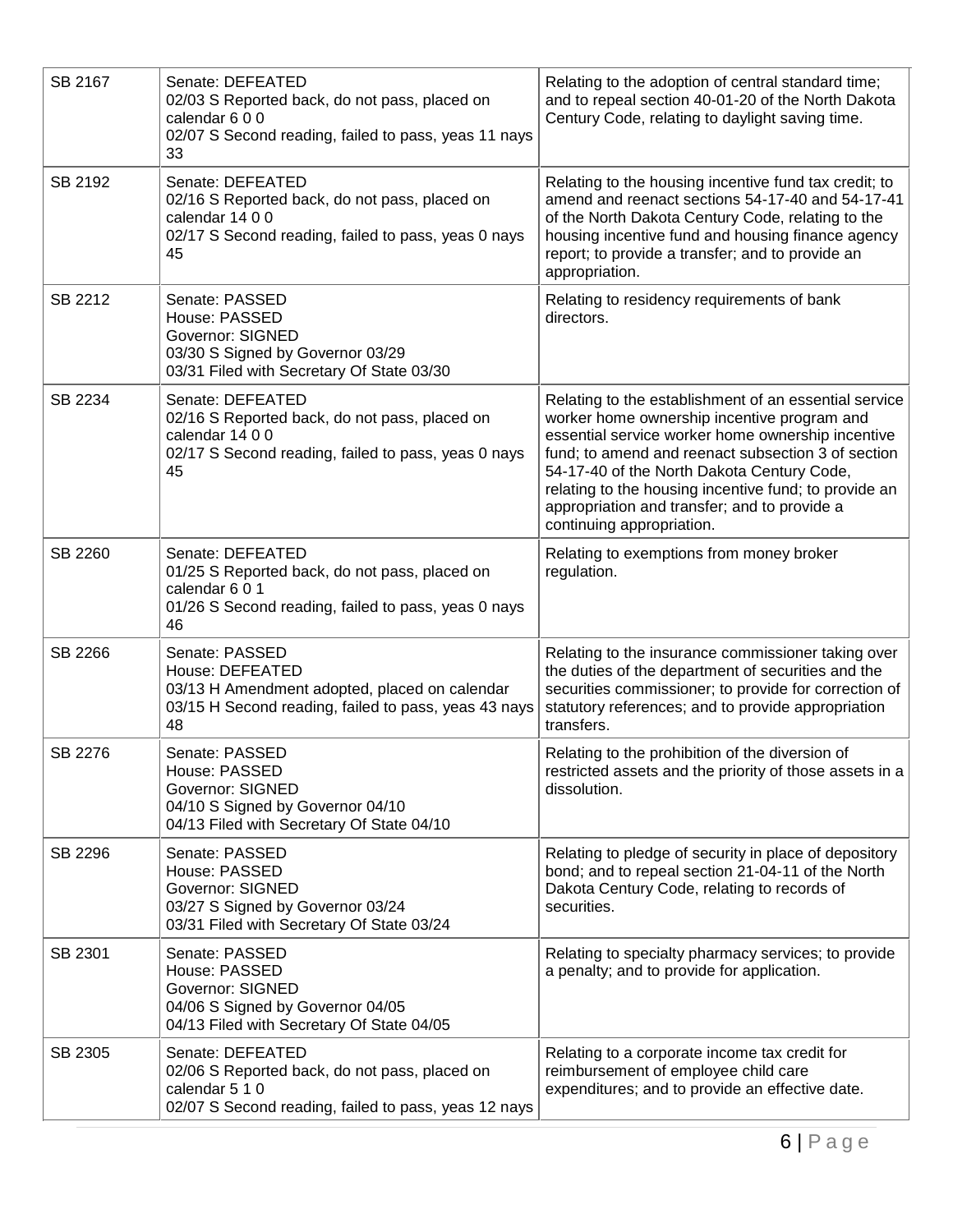| SB 2167 | Senate: DEFEATED<br>02/03 S Reported back, do not pass, placed on<br>calendar 600<br>02/07 S Second reading, failed to pass, yeas 11 nays<br>33   | Relating to the adoption of central standard time;<br>and to repeal section 40-01-20 of the North Dakota<br>Century Code, relating to daylight saving time.                                                                                                                                                                                                                                         |
|---------|---------------------------------------------------------------------------------------------------------------------------------------------------|-----------------------------------------------------------------------------------------------------------------------------------------------------------------------------------------------------------------------------------------------------------------------------------------------------------------------------------------------------------------------------------------------------|
| SB 2192 | Senate: DEFEATED<br>02/16 S Reported back, do not pass, placed on<br>calendar 14 0 0<br>02/17 S Second reading, failed to pass, yeas 0 nays<br>45 | Relating to the housing incentive fund tax credit; to<br>amend and reenact sections 54-17-40 and 54-17-41<br>of the North Dakota Century Code, relating to the<br>housing incentive fund and housing finance agency<br>report; to provide a transfer; and to provide an<br>appropriation.                                                                                                           |
| SB 2212 | Senate: PASSED<br>House: PASSED<br><b>Governor: SIGNED</b><br>03/30 S Signed by Governor 03/29<br>03/31 Filed with Secretary Of State 03/30       | Relating to residency requirements of bank<br>directors.                                                                                                                                                                                                                                                                                                                                            |
| SB 2234 | Senate: DEFEATED<br>02/16 S Reported back, do not pass, placed on<br>calendar 14 0 0<br>02/17 S Second reading, failed to pass, yeas 0 nays<br>45 | Relating to the establishment of an essential service<br>worker home ownership incentive program and<br>essential service worker home ownership incentive<br>fund; to amend and reenact subsection 3 of section<br>54-17-40 of the North Dakota Century Code,<br>relating to the housing incentive fund; to provide an<br>appropriation and transfer; and to provide a<br>continuing appropriation. |
| SB 2260 | Senate: DEFEATED<br>01/25 S Reported back, do not pass, placed on<br>calendar 6 0 1<br>01/26 S Second reading, failed to pass, yeas 0 nays<br>46  | Relating to exemptions from money broker<br>regulation.                                                                                                                                                                                                                                                                                                                                             |
| SB 2266 | Senate: PASSED<br>House: DEFEATED<br>03/13 H Amendment adopted, placed on calendar<br>03/15 H Second reading, failed to pass, yeas 43 nays<br>48  | Relating to the insurance commissioner taking over<br>the duties of the department of securities and the<br>securities commissioner; to provide for correction of<br>statutory references; and to provide appropriation<br>transfers.                                                                                                                                                               |
| SB 2276 | Senate: PASSED<br>House: PASSED<br><b>Governor: SIGNED</b><br>04/10 S Signed by Governor 04/10<br>04/13 Filed with Secretary Of State 04/10       | Relating to the prohibition of the diversion of<br>restricted assets and the priority of those assets in a<br>dissolution.                                                                                                                                                                                                                                                                          |
| SB 2296 | Senate: PASSED<br>House: PASSED<br><b>Governor: SIGNED</b><br>03/27 S Signed by Governor 03/24<br>03/31 Filed with Secretary Of State 03/24       | Relating to pledge of security in place of depository<br>bond; and to repeal section 21-04-11 of the North<br>Dakota Century Code, relating to records of<br>securities.                                                                                                                                                                                                                            |
| SB 2301 | Senate: PASSED<br>House: PASSED<br><b>Governor: SIGNED</b><br>04/06 S Signed by Governor 04/05<br>04/13 Filed with Secretary Of State 04/05       | Relating to specialty pharmacy services; to provide<br>a penalty; and to provide for application.                                                                                                                                                                                                                                                                                                   |
| SB 2305 | Senate: DEFEATED<br>02/06 S Reported back, do not pass, placed on<br>calendar 5 1 0<br>02/07 S Second reading, failed to pass, yeas 12 nays       | Relating to a corporate income tax credit for<br>reimbursement of employee child care<br>expenditures; and to provide an effective date.                                                                                                                                                                                                                                                            |